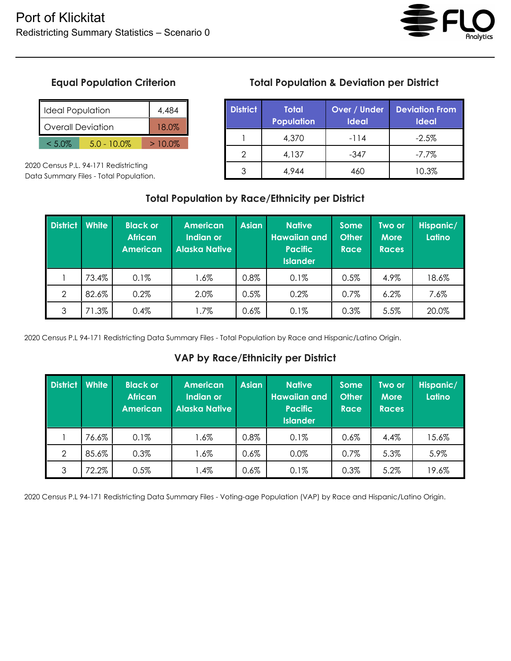

# **Equal Population Criterion**

| I Ideal Population          |  |  | 4.484     |
|-----------------------------|--|--|-----------|
| Overall Deviation           |  |  | 18 በ%     |
| $5.0 - 10.0\%$<br>$< 5.0\%$ |  |  | $>10.0\%$ |

2020 Census P.L. 94-171 Redistricting Data Summary Files - Total Population.

## **Total Population & Deviation per District**

| <b>District</b> | <b>Total</b><br><b>Population</b> | Over / Under<br><b>Ideal</b> | <b>Deviation From</b><br><b>Ideal</b> |
|-----------------|-----------------------------------|------------------------------|---------------------------------------|
|                 | 4,370                             | $-114$                       | $-2.5%$                               |
| 2               | 4,137                             | $-347$                       | $-7.7\%$                              |
|                 | 4,944                             | 460                          | 10.3%                                 |

#### **Total Population by Race/Ethnicity per District**

| <b>District</b> | <b>White</b> | <b>Black or</b><br><b>African</b><br><b>American</b> | <b>American</b><br>Indian or<br><b>Alaska Native</b> | <b>Asian</b> | <b>Native</b><br><b>Hawaiian and</b><br><b>Pacific</b><br><b>Islander</b> | Some<br><b>Other</b><br><b>Race</b> | Two or<br><b>More</b><br><b>Races</b> | Hispanic/<br>Latino |
|-----------------|--------------|------------------------------------------------------|------------------------------------------------------|--------------|---------------------------------------------------------------------------|-------------------------------------|---------------------------------------|---------------------|
|                 | 73.4%        | 0.1%                                                 | $1.6\%$                                              | 0.8%         | 0.1%                                                                      | 0.5%                                | 4.9%                                  | 18.6%               |
| $\overline{2}$  | 82.6%        | 0.2%                                                 | 2.0%                                                 | 0.5%         | 0.2%                                                                      | $0.7\%$                             | 6.2%                                  | 7.6%                |
| 3               | 71.3%        | 0.4%                                                 | 1.7%                                                 | $0.6\%$      | 0.1%                                                                      | 0.3%                                | 5.5%                                  | 20.0%               |

2020 Census P.L 94-171 Redistricting Data Summary Files - Total Population by Race and Hispanic/Latino Origin.

#### **VAP by Race/Ethnicity per District**

| <b>District</b> | White | <b>Black or</b><br><b>African</b><br><b>American</b> | <b>American</b><br>Indian or<br><b>Alaska Native</b> | <b>Asian</b> | <b>Native</b><br><b>Hawaiian and</b><br><b>Pacific</b><br><b>Islander</b> | <b>Some</b><br><b>Other</b><br><b>Race</b> | Two or<br><b>More</b><br><b>Races</b> | Hispanic/<br>Latino |
|-----------------|-------|------------------------------------------------------|------------------------------------------------------|--------------|---------------------------------------------------------------------------|--------------------------------------------|---------------------------------------|---------------------|
|                 | 76.6% | 0.1%                                                 | 1.6%                                                 | 0.8%         | 0.1%                                                                      | $0.6\%$                                    | 4.4%                                  | 15.6%               |
| $\mathcal{P}$   | 85.6% | 0.3%                                                 | $1.6\%$                                              | 0.6%         | 0.0%                                                                      | 0.7%                                       | 5.3%                                  | 5.9%                |
| 3               | 72.2% | 0.5%                                                 | 1.4%                                                 | 0.6%         | 0.1%                                                                      | 0.3%                                       | 5.2%                                  | 19.6%               |

2020 Census P.L 94-171 Redistricting Data Summary Files - Voting-age Population (VAP) by Race and Hispanic/Latino Origin.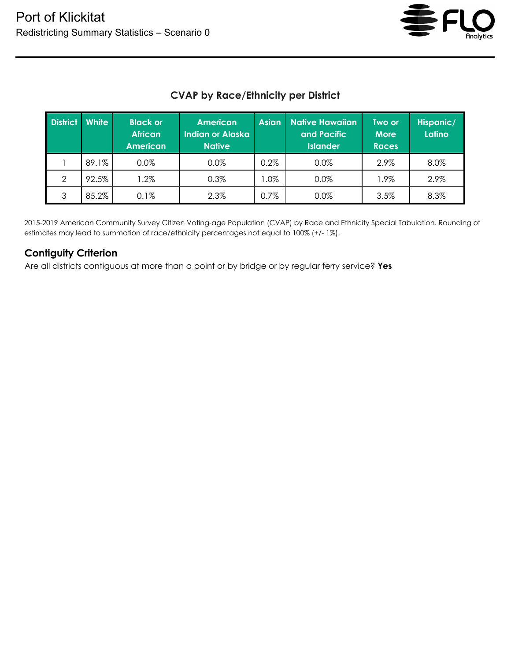

## **CVAP by Race/Ethnicity per District**

| <b>District</b> | <b>White</b> | <b>Black or</b><br><b>African</b><br><b>American</b> | <b>American</b><br><b>Indian or Alaska</b><br><b>Native</b> | <b>Asian</b> | <b>Native Hawaiian</b><br>and Pacific<br><b>Islander</b> | Two or<br><b>More</b><br><b>Races</b> | Hispanic/<br>Latino |
|-----------------|--------------|------------------------------------------------------|-------------------------------------------------------------|--------------|----------------------------------------------------------|---------------------------------------|---------------------|
|                 | 89.1%        | $0.0\%$                                              | 0.0%                                                        | 0.2%         | 0.0%                                                     | 2.9%                                  | 8.0%                |
| $\mathcal{P}$   | 92.5%        | $.2\%$                                               | 0.3%                                                        | $.0\%$       | $0.0\%$                                                  | 1.9%                                  | 2.9%                |
| 3               | 85.2%        | 0.1%                                                 | 2.3%                                                        | 0.7%         | $0.0\%$                                                  | 3.5%                                  | 8.3%                |

2015-2019 American Community Survey Citizen Voting-age Population (CVAP) by Race and Ethnicity Special Tabulation. Rounding of estimates may lead to summation of race/ethnicity percentages not equal to 100% (+/- 1%).

#### **Contiguity Criterion**

Are all districts contiguous at more than a point or by bridge or by regular ferry service? **Yes**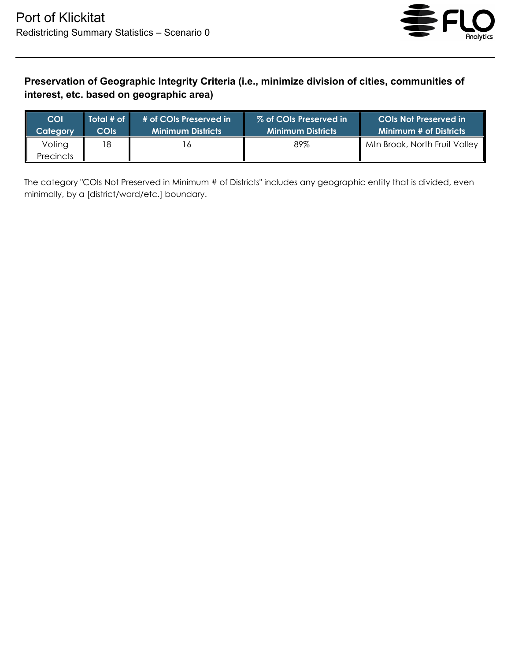

## **Preservation of Geographic Integrity Criteria (i.e., minimize division of cities, communities of interest, etc. based on geographic area)**

| COI                        | Total # of | # of COIs Preserved in   | ′ % of COIs Preserved in в | <b>COIs Not Preserved in</b>  |
|----------------------------|------------|--------------------------|----------------------------|-------------------------------|
| ateaorv                    | COIs       | <b>Minimum Districts</b> | <b>Minimum Districts</b>   | <b>Minimum # of Districts</b> |
| Voting<br><b>Precincts</b> | 18         |                          | 89%                        | Mtn Brook, North Fruit Valley |

The category "COIs Not Preserved in Minimum # of Districts" includes any geographic entity that is divided, even minimally, by a [district/ward/etc.] boundary.